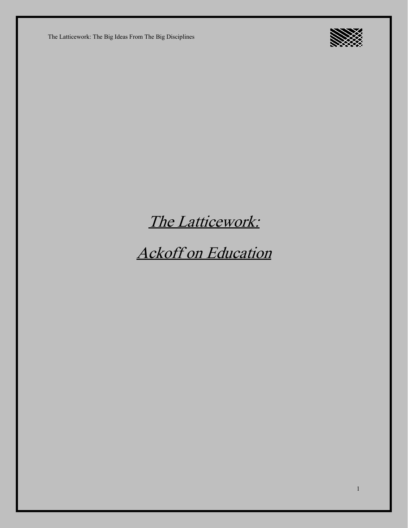

## The Latticework:

Ackoff on Education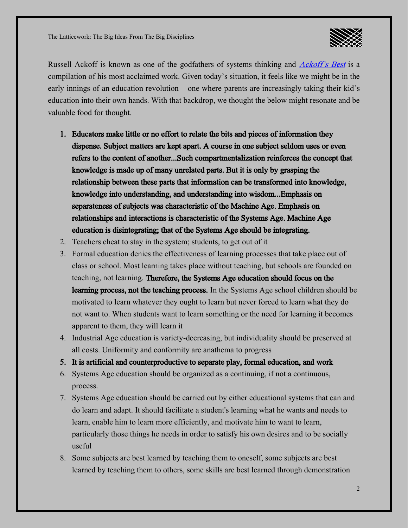

Russell [Ackoff](https://blas.com/ackoffs-best/) is known as one of the godfathers of systems thinking and *Ackoff's Best* is a compilation of his most acclaimed work. Given today's situation, it feels like we might be in the early innings of an education revolution – one where parents are increasingly taking their kid's education into their own hands. With that backdrop, we thought the below might resonate and be valuable food for thought.

- 1. Educators make little or no effort to relate the bits and pieces of information they dispense. Subject matters are kept apart. A course in one subject seldom uses or even refers to the content of another...Such compartmentalization reinforces the concept that knowledge is made up of many unrelated parts. But it is only by grasping the relationship between these parts that information can be transformed into knowledge, knowledge into understanding, and understanding into wisdom...Emphasis on separateness of subjects was characteristic of the Machine Age. Emphasis on relationships and interactions is characteristic of the Systems Age. Machine Age education is disintegrating; that of the Systems Age should be integrating.
- 2. Teachers cheat to stay in the system; students, to get out of it
- 3. Formal education denies the effectiveness of learning processes that take place out of class or school. Most learning takes place without teaching, but schools are founded on teaching, not learning. Therefore, the Systems Age education should focus on the learning process, not the teaching process. In the Systems Age school children should be motivated to learn whatever they ought to learn but never forced to learn what they do not want to. When students want to learn something or the need for learning it becomes apparent to them, they will learn it
- 4. Industrial Age education is variety-decreasing, but individuality should be preserved at all costs. Uniformity and conformity are anathema to progress
- 5. It is artificial and counterproductive to separate play, formal education, and work
- 6. Systems Age education should be organized as a continuing, if not a continuous, process.
- 7. Systems Age education should be carried out by either educational systems that can and do learn and adapt. It should facilitate a student's learning what he wants and needs to learn, enable him to learn more efficiently, and motivate him to want to learn, particularly those things he needs in order to satisfy his own desires and to be socially useful
- 8. Some subjects are best learned by teaching them to oneself, some subjects are best learned by teaching them to others, some skills are best learned through demonstration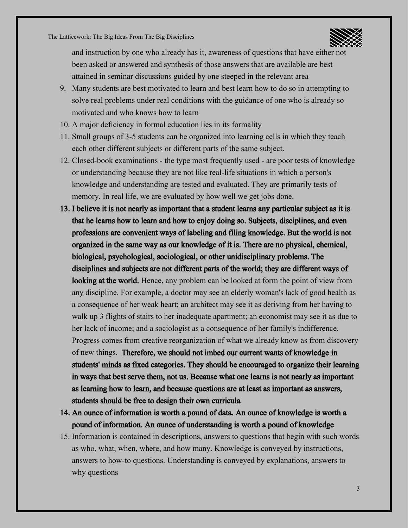

and instruction by one who already has it, awareness of questions that have either not been asked or answered and synthesis of those answers that are available are best attained in seminar discussions guided by one steeped in the relevant area

- 9. Many students are best motivated to learn and best learn how to do so in attempting to solve real problems under real conditions with the guidance of one who is already so motivated and who knows how to learn
- 10. A major deficiency in formal education lies in its formality
- 11.Small groups of 3-5 students can be organized into learning cells in which they teach each other different subjects or different parts of the same subject.
- 12. Closed-book examinations the type most frequently used are poor tests of knowledge or understanding because they are not like real-life situations in which a person's knowledge and understanding are tested and evaluated. They are primarily tests of memory. In real life, we are evaluated by how well we get jobs done.
- 13. I believe it is not nearly as important that a student learns any particular subject as it is that he learns how to learn and how to enjoy doing so. Subjects, disciplines, and even professions are convenient ways of labeling and filing knowledge. But the world is not organized in the same way as our knowledge of it is. There are no physical, chemical, biological, psychological, sociological, or other unidisciplinary problems. The disciplines and subjects are not different parts of the world; they are different ways of looking at the world. Hence, any problem can be looked at form the point of view from any discipline. For example, a doctor may see an elderly woman's lack of good health as a consequence of her weak heart; an architect may see it as deriving from her having to walk up 3 flights of stairs to her inadequate apartment; an economist may see it as due to her lack of income; and a sociologist as a consequence of her family's indifference. Progress comes from creative reorganization of what we already know as from discovery of new things. Therefore, we should not imbed our current wants of knowledge in students' minds as fixed categories. They should be encouraged to organize their learning in ways that best serve them, not us. Because what one learns is not nearly as important as learning how to learn, and because questions are at least as important as answers, students should be free to design their own curricula
- 14. An ounce of information is worth a pound of data. An ounce of knowledge is worth a pound of information. An ounce of understanding is worth a pound of knowledge
- 15. Information is contained in descriptions, answers to questions that begin with such words as who, what, when, where, and how many. Knowledge is conveyed by instructions, answers to how-to questions. Understanding is conveyed by explanations, answers to why questions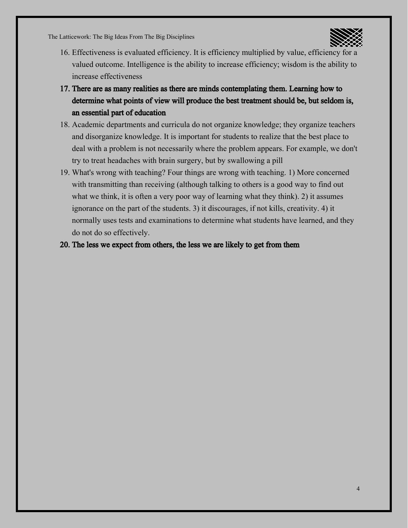

- 16. Effectiveness is evaluated efficiency. It is efficiency multiplied by value, efficiency for a valued outcome. Intelligence is the ability to increase efficiency; wisdom is the ability to increase effectiveness
- 17. There are as many realities as there are minds contemplating them. Learning how to determine what points of view will produce the best treatment should be, but seldom is, an essential part of education
- 18. Academic departments and curricula do not organize knowledge; they organize teachers and disorganize knowledge. It is important for students to realize that the best place to deal with a problem is not necessarily where the problem appears. For example, we don't try to treat headaches with brain surgery, but by swallowing a pill
- 19. What's wrong with teaching? Four things are wrong with teaching. 1) More concerned with transmitting than receiving (although talking to others is a good way to find out what we think, it is often a very poor way of learning what they think). 2) it assumes ignorance on the part of the students. 3) it discourages, if not kills, creativity. 4) it normally uses tests and examinations to determine what students have learned, and they do not do so effectively.
- 20. The less we expect from others, the less we are likely to get from them